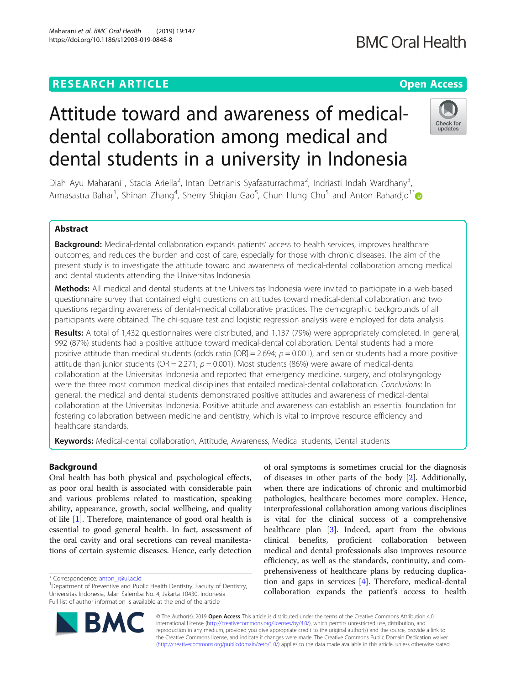https://doi.org/10.1186/s12903-019-0848-8

## Maharani et al. BMC Oral Health (2019) 19:147

# **BMC Oral Health**

# Check for undate

Diah Ayu Maharani<sup>1</sup>, Stacia Ariella<sup>2</sup>, Intan Detrianis Syafaaturrachma<sup>2</sup>, Indriasti Indah Wardhany<sup>3</sup> , Armasastra Bahar<sup>1</sup>, Shinan Zhang<sup>4</sup>, Sherry Shiqian Gao<sup>5</sup>, Chun Hung Chu<sup>5</sup> and Anton Rahardjo<sup>1\*</sup>

Attitude toward and awareness of medical-

dental students in a university in Indonesia

dental collaboration among medical and

## Abstract

Background: Medical-dental collaboration expands patients' access to health services, improves healthcare outcomes, and reduces the burden and cost of care, especially for those with chronic diseases. The aim of the present study is to investigate the attitude toward and awareness of medical-dental collaboration among medical and dental students attending the Universitas Indonesia.

Methods: All medical and dental students at the Universitas Indonesia were invited to participate in a web-based questionnaire survey that contained eight questions on attitudes toward medical-dental collaboration and two questions regarding awareness of dental-medical collaborative practices. The demographic backgrounds of all participants were obtained. The chi-square test and logistic regression analysis were employed for data analysis.

Results: A total of 1,432 questionnaires were distributed, and 1,137 (79%) were appropriately completed. In general, 992 (87%) students had a positive attitude toward medical-dental collaboration. Dental students had a more positive attitude than medical students (odds ratio  $[OR] = 2.694$ ;  $p = 0.001$ ), and senior students had a more positive attitude than junior students (OR = 2.271;  $p = 0.001$ ). Most students (86%) were aware of medical-dental collaboration at the Universitas Indonesia and reported that emergency medicine, surgery, and otolaryngology were the three most common medical disciplines that entailed medical-dental collaboration. Conclusions: In general, the medical and dental students demonstrated positive attitudes and awareness of medical-dental collaboration at the Universitas Indonesia. Positive attitude and awareness can establish an essential foundation for fostering collaboration between medicine and dentistry, which is vital to improve resource efficiency and healthcare standards.

Keywords: Medical-dental collaboration, Attitude, Awareness, Medical students, Dental students

### Background

Oral health has both physical and psychological effects, as poor oral health is associated with considerable pain and various problems related to mastication, speaking ability, appearance, growth, social wellbeing, and quality of life [[1\]](#page-6-0). Therefore, maintenance of good oral health is essential to good general health. In fact, assessment of the oral cavity and oral secretions can reveal manifestations of certain systemic diseases. Hence, early detection

of oral symptoms is sometimes crucial for the diagnosis of diseases in other parts of the body [[2\]](#page-6-0). Additionally, when there are indications of chronic and multimorbid pathologies, healthcare becomes more complex. Hence, interprofessional collaboration among various disciplines is vital for the clinical success of a comprehensive healthcare plan [[3](#page-6-0)]. Indeed, apart from the obvious clinical benefits, proficient collaboration between medical and dental professionals also improves resource efficiency, as well as the standards, continuity, and comprehensiveness of healthcare plans by reducing duplication and gaps in services [\[4](#page-6-0)]. Therefore, medical-dental collaboration expands the patient's access to health



© The Author(s). 2019 **Open Access** This article is distributed under the terms of the Creative Commons Attribution 4.0 International License [\(http://creativecommons.org/licenses/by/4.0/](http://creativecommons.org/licenses/by/4.0/)), which permits unrestricted use, distribution, and reproduction in any medium, provided you give appropriate credit to the original author(s) and the source, provide a link to the Creative Commons license, and indicate if changes were made. The Creative Commons Public Domain Dedication waiver [\(http://creativecommons.org/publicdomain/zero/1.0/](http://creativecommons.org/publicdomain/zero/1.0/)) applies to the data made available in this article, unless otherwise stated.

<sup>\*</sup> Correspondence: [anton\\_r@ui.ac.id](mailto:anton_r@ui.ac.id) <sup>1</sup>

<sup>&</sup>lt;sup>1</sup>Department of Preventive and Public Health Dentistry, Faculty of Dentistry, Universitas Indonesia, Jalan Salemba No. 4, Jakarta 10430, Indonesia Full list of author information is available at the end of the article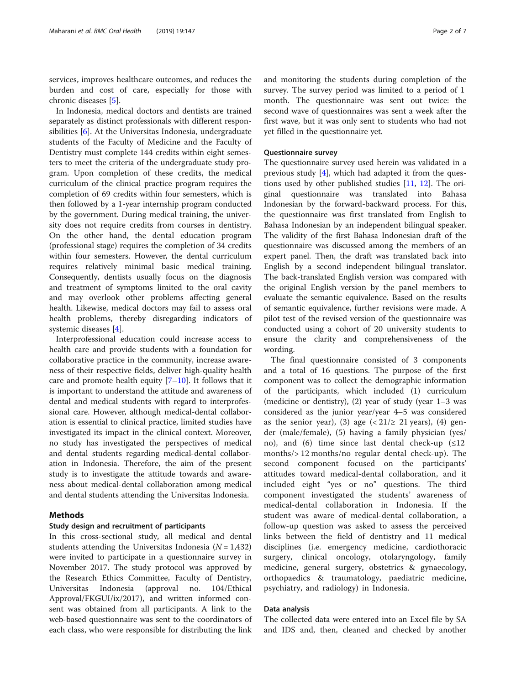services, improves healthcare outcomes, and reduces the burden and cost of care, especially for those with chronic diseases [\[5\]](#page-6-0).

In Indonesia, medical doctors and dentists are trained separately as distinct professionals with different responsibilities [[6\]](#page-6-0). At the Universitas Indonesia, undergraduate students of the Faculty of Medicine and the Faculty of Dentistry must complete 144 credits within eight semesters to meet the criteria of the undergraduate study program. Upon completion of these credits, the medical curriculum of the clinical practice program requires the completion of 69 credits within four semesters, which is then followed by a 1-year internship program conducted by the government. During medical training, the university does not require credits from courses in dentistry. On the other hand, the dental education program (professional stage) requires the completion of 34 credits within four semesters. However, the dental curriculum requires relatively minimal basic medical training. Consequently, dentists usually focus on the diagnosis and treatment of symptoms limited to the oral cavity and may overlook other problems affecting general health. Likewise, medical doctors may fail to assess oral health problems, thereby disregarding indicators of systemic diseases [[4\]](#page-6-0).

Interprofessional education could increase access to health care and provide students with a foundation for collaborative practice in the community, increase awareness of their respective fields, deliver high-quality health care and promote health equity  $[7-10]$  $[7-10]$  $[7-10]$  $[7-10]$ . It follows that it is important to understand the attitude and awareness of dental and medical students with regard to interprofessional care. However, although medical-dental collaboration is essential to clinical practice, limited studies have investigated its impact in the clinical context. Moreover, no study has investigated the perspectives of medical and dental students regarding medical-dental collaboration in Indonesia. Therefore, the aim of the present study is to investigate the attitude towards and awareness about medical-dental collaboration among medical and dental students attending the Universitas Indonesia.

#### Methods

#### Study design and recruitment of participants

In this cross-sectional study, all medical and dental students attending the Universitas Indonesia ( $N = 1,432$ ) were invited to participate in a questionnaire survey in November 2017. The study protocol was approved by the Research Ethics Committee, Faculty of Dentistry, Universitas Indonesia (approval no. 104/Ethical Approval/FKGUI/ix/2017), and written informed consent was obtained from all participants. A link to the web-based questionnaire was sent to the coordinators of each class, who were responsible for distributing the link and monitoring the students during completion of the survey. The survey period was limited to a period of 1 month. The questionnaire was sent out twice: the second wave of questionnaires was sent a week after the first wave, but it was only sent to students who had not yet filled in the questionnaire yet.

#### Questionnaire survey

The questionnaire survey used herein was validated in a previous study [[4](#page-6-0)], which had adapted it from the questions used by other published studies  $[11, 12]$  $[11, 12]$  $[11, 12]$  $[11, 12]$  $[11, 12]$ . The original questionnaire was translated into Bahasa Indonesian by the forward-backward process. For this, the questionnaire was first translated from English to Bahasa Indonesian by an independent bilingual speaker. The validity of the first Bahasa Indonesian draft of the questionnaire was discussed among the members of an expert panel. Then, the draft was translated back into English by a second independent bilingual translator. The back-translated English version was compared with the original English version by the panel members to evaluate the semantic equivalence. Based on the results of semantic equivalence, further revisions were made. A pilot test of the revised version of the questionnaire was conducted using a cohort of 20 university students to ensure the clarity and comprehensiveness of the wording.

The final questionnaire consisted of 3 components and a total of 16 questions. The purpose of the first component was to collect the demographic information of the participants, which included (1) curriculum (medicine or dentistry), (2) year of study (year 1–3 was considered as the junior year/year 4–5 was considered as the senior year), (3) age  $\left( \frac{21}{2} \right. 21$  years), (4) gender (male/female), (5) having a family physician (yes/ no), and (6) time since last dental check-up (≤12 months/> 12 months/no regular dental check-up). The second component focused on the participants' attitudes toward medical-dental collaboration, and it included eight "yes or no" questions. The third component investigated the students' awareness of medical-dental collaboration in Indonesia. If the student was aware of medical-dental collaboration, a follow-up question was asked to assess the perceived links between the field of dentistry and 11 medical disciplines (i.e. emergency medicine, cardiothoracic surgery, clinical oncology, otolaryngology, family medicine, general surgery, obstetrics & gynaecology, orthopaedics & traumatology, paediatric medicine, psychiatry, and radiology) in Indonesia.

#### Data analysis

The collected data were entered into an Excel file by SA and IDS and, then, cleaned and checked by another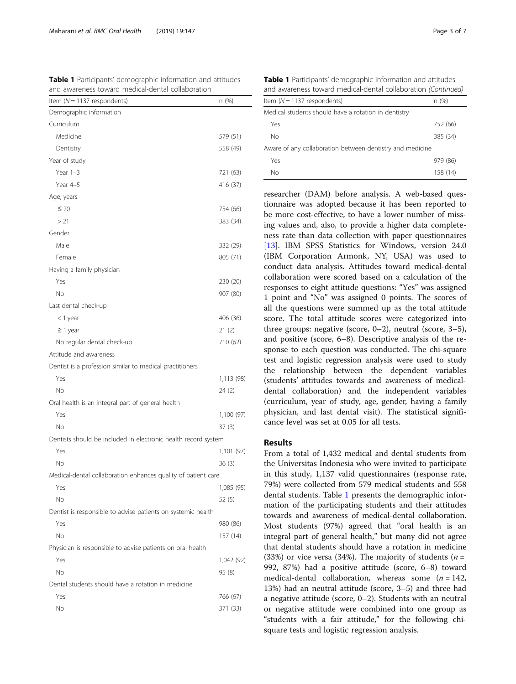| and awareness toward medical-dental collaboration              |            |
|----------------------------------------------------------------|------------|
| Item ( $N = 1137$ respondents)                                 | n (%)      |
| Demographic information                                        |            |
| Curriculum                                                     |            |
| Medicine                                                       | 579 (51)   |
| Dentistry                                                      | 558 (49)   |
| Year of study                                                  |            |
| Year $1-3$                                                     | 721 (63)   |
| Year 4-5                                                       | 416 (37)   |
| Age, years                                                     |            |
| $\leq 20$                                                      | 754 (66)   |
| > 21                                                           | 383 (34)   |
| Gender                                                         |            |
| Male                                                           | 332 (29)   |
| Female                                                         | 805 (71)   |
| Having a family physician                                      |            |
| Yes                                                            | 230 (20)   |
| No                                                             | 907 (80)   |
| Last dental check-up                                           |            |
| < 1 year                                                       | 406 (36)   |
| $\geq$ 1 year                                                  | 21(2)      |
| No regular dental check-up                                     | 710 (62)   |
| Attitude and awareness                                         |            |
| Dentist is a profession similar to medical practitioners       |            |
| Yes                                                            | 1,113 (98) |
| No                                                             | 24(2)      |
| Oral health is an integral part of general health              |            |
| Yes                                                            | 1,100 (97) |
| No                                                             | 37(3)      |
| Dentists should be included in electronic health record system |            |
| Yes                                                            | 1,101 (97) |
| No                                                             | 36(3)      |
| Medical-dental collaboration enhances quality of patient care  |            |
| Yes                                                            | 1,085 (95) |
| No                                                             | 52(5)      |
| Dentist is responsible to advise patients on systemic health   |            |
| Yes                                                            | 980 (86)   |
| No                                                             | 157 (14)   |
| Physician is responsible to advise patients on oral health     |            |
| Yes                                                            | 1,042 (92) |
| No                                                             | 95 (8)     |
| Dental students should have a rotation in medicine             |            |
| Yes                                                            | 766 (67)   |
| No                                                             | 371 (33)   |

<span id="page-2-0"></span>Table 1 Participants' demographic information and attitudes

Table 1 Participants' demographic information and attitudes and awareness toward medical-dental collaboration (Continued)

| Item ( $N = 1137$ respondents)                            | n (%)    |  |
|-----------------------------------------------------------|----------|--|
| Medical students should have a rotation in dentistry      |          |  |
| Yes                                                       | 752 (66) |  |
| Νo                                                        | 385 (34) |  |
| Aware of any collaboration between dentistry and medicine |          |  |
| Yes                                                       | 979 (86) |  |
| No                                                        | 158 (14) |  |
|                                                           |          |  |

researcher (DAM) before analysis. A web-based questionnaire was adopted because it has been reported to be more cost-effective, to have a lower number of missing values and, also, to provide a higher data completeness rate than data collection with paper questionnaires [[13\]](#page-6-0). IBM SPSS Statistics for Windows, version 24.0 (IBM Corporation Armonk, NY, USA) was used to conduct data analysis. Attitudes toward medical-dental collaboration were scored based on a calculation of the responses to eight attitude questions: "Yes" was assigned 1 point and "No" was assigned 0 points. The scores of all the questions were summed up as the total attitude score. The total attitude scores were categorized into three groups: negative (score, 0–2), neutral (score, 3–5), and positive (score, 6–8). Descriptive analysis of the response to each question was conducted. The chi-square test and logistic regression analysis were used to study the relationship between the dependent variables (students' attitudes towards and awareness of medicaldental collaboration) and the independent variables (curriculum, year of study, age, gender, having a family physician, and last dental visit). The statistical significance level was set at 0.05 for all tests.

#### Results

From a total of 1,432 medical and dental students from the Universitas Indonesia who were invited to participate in this study, 1,137 valid questionnaires (response rate, 79%) were collected from 579 medical students and 558 dental students. Table 1 presents the demographic information of the participating students and their attitudes towards and awareness of medical-dental collaboration. Most students (97%) agreed that "oral health is an integral part of general health," but many did not agree that dental students should have a rotation in medicine (33%) or vice versa (34%). The majority of students ( $n =$ 992, 87%) had a positive attitude (score, 6–8) toward medical-dental collaboration, whereas some  $(n = 142,$ 13%) had an neutral attitude (score, 3–5) and three had a negative attitude (score, 0–2). Students with an neutral or negative attitude were combined into one group as "students with a fair attitude," for the following chisquare tests and logistic regression analysis.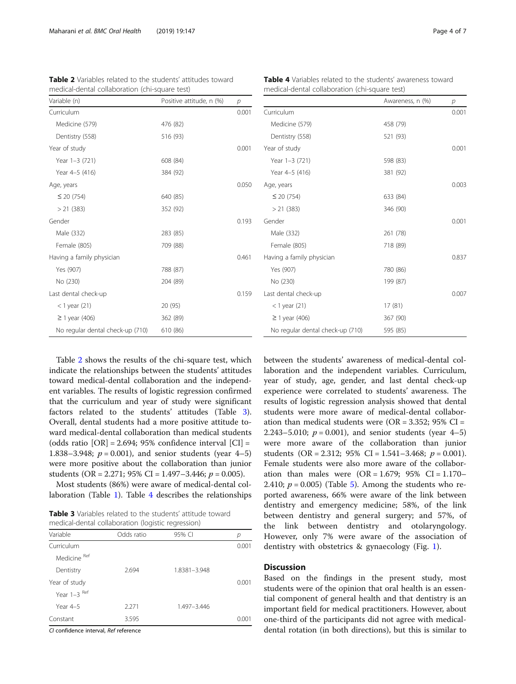Table 2 shows the results of the chi-square test, which indicate the relationships between the students' attitudes toward medical-dental collaboration and the independent variables. The results of logistic regression confirmed that the curriculum and year of study were significant factors related to the students' attitudes (Table 3). Overall, dental students had a more positive attitude toward medical-dental collaboration than medical students (odds ratio  $[OR] = 2.694$ ; 95% confidence interval  $[CI] =$ 1.838–3.948;  $p = 0.001$ ), and senior students (year 4–5) were more positive about the collaboration than junior students (OR = 2.271; 95% CI = 1.497-3.446;  $p = 0.005$ ).

Most students (86%) were aware of medical-dental collaboration (Table [1](#page-2-0)). Table 4 describes the relationships

Table 3 Variables related to the students' attitude toward medical-dental collaboration (logistic regression)

| Variable      | Odds ratio | 95% CI       | р     |
|---------------|------------|--------------|-------|
| Curriculum    |            |              | 0.001 |
| Medicine Ref  |            |              |       |
| Dentistry     | 2.694      | 1.8381-3.948 |       |
| Year of study |            |              | 0.001 |
| Year 1-3 Ref  |            |              |       |
| Year 4-5      | 2.271      | 1.497-3.446  |       |
| Constant      | 3.595      |              | 0.001 |

CI confidence interval, Ref reference

Having a family physician and the control of the 0.461 Last dental check-up 0.159 Yes (907) 780 (86) No (230) 199 (87) < 1 year (21) 17 (81) ≥ 1 year (406) 367 (90) No regular dental check-up (710) 595 (85)

between the students' awareness of medical-dental collaboration and the independent variables. Curriculum, year of study, age, gender, and last dental check-up experience were correlated to students' awareness. The results of logistic regression analysis showed that dental students were more aware of medical-dental collaboration than medical students were  $(OR = 3.352; 95\% CI =$ 2.243–5.010;  $p = 0.001$ ), and senior students (year 4–5) were more aware of the collaboration than junior students (OR = 2.312; 95% CI = 1.541-3.468;  $p = 0.001$ ). Female students were also more aware of the collaboration than males were  $(OR = 1.679; 95\% \text{ CI} = 1.170-$ 2.410;  $p = 0.005$  $p = 0.005$ ) (Table 5). Among the students who reported awareness, 66% were aware of the link between dentistry and emergency medicine; 58%, of the link between dentistry and general surgery; and 57%, of the link between dentistry and otolaryngology. However, only 7% were aware of the association of dentistry with obstetrics & gynaecology (Fig. [1](#page-4-0)).

#### **Discussion**

Based on the findings in the present study, most students were of the opinion that oral health is an essential component of general health and that dentistry is an important field for medical practitioners. However, about one-third of the participants did not agree with medicaldental rotation (in both directions), but this is similar to

Variable (n)  $\blacksquare$  Positive attitude, n  $(\%)$  p

Curriculum 0.001

Year of study 0.001

Age, years 0.050

Gender 2012 Contract to the Contract of the Contract of the Contract of the Contract of the Contract of the Co

|                                  | Awareness, n (%) | р     |
|----------------------------------|------------------|-------|
| Curriculum                       |                  | 0.001 |
| Medicine (579)                   | 458 (79)         |       |
| Dentistry (558)                  | 521 (93)         |       |
| Year of study                    |                  | 0.001 |
| Year 1-3 (721)                   | 598 (83)         |       |
| Year 4-5 (416)                   | 381 (92)         |       |
| Age, years                       |                  | 0.003 |
| $\leq$ 20 (754)                  | 633 (84)         |       |
| $> 21$ (383)                     | 346 (90)         |       |
| Gender                           |                  | 0.001 |
| Male (332)                       | 261 (78)         |       |
| Female (805)                     | 718 (89)         |       |
| Having a family physician        |                  | 0.837 |
| Yes (907)                        | 780 (86)         |       |
| No (230)                         | 199 (87)         |       |
| Last dental check-up             |                  | 0.007 |
| < 1 year (21)                    | 17(81)           |       |
| $\geq$ 1 year (406)              | 367 (90)         |       |
| No regular dental check-up (710) | 595 (85)         |       |

Table 4 Variables related to the students' awareness toward

medical-dental collaboration (chi-square test)

Table 2 Variables related to the students' attitudes toward medical-dental collaboration (chi-square test)

Medicine (579) 476 (82) Dentistry (558) 516 (93)

Year 1-3 (721) 608 (84) Year 4–5 (416) 384 (92)

 $<$  20 (754) 640 (85) > 21 (383) 352 (92)

Male (332) 283 (85) Female (805) 709 (88)

Yes (907) 788 (87) No (230) 204 (89)

< 1 year (21) 20 (95)  $\geq 1$  year (406) 362 (89) No regular dental check-up (710) 610 (86)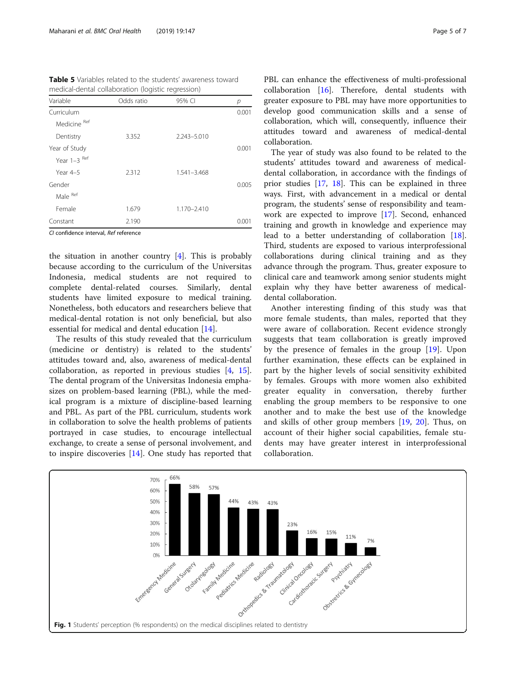<span id="page-4-0"></span>Table 5 Variables related to the students' awareness toward medical-dental collaboration (logistic regression)

| Variable      | Odds ratio | 95% CI          | р     |
|---------------|------------|-----------------|-------|
| Curriculum    |            |                 | 0.001 |
| Medicine Ref  |            |                 |       |
| Dentistry     | 3.352      | $2.243 - 5.010$ |       |
| Year of Study |            |                 | 0.001 |
| Year 1-3 Ref  |            |                 |       |
| Year $4-5$    | 2.312      | 1.541-3.468     |       |
| Gender        |            |                 | 0.005 |
| Male Ref      |            |                 |       |
| Female        | 1.679      | 1.170-2.410     |       |
| Constant      | 2.190      |                 | 0.001 |

CI confidence interval, Ref reference

the situation in another country [[4\]](#page-6-0). This is probably because according to the curriculum of the Universitas Indonesia, medical students are not required to complete dental-related courses. Similarly, dental students have limited exposure to medical training. Nonetheless, both educators and researchers believe that medical-dental rotation is not only beneficial, but also essential for medical and dental education [[14](#page-6-0)].

The results of this study revealed that the curriculum (medicine or dentistry) is related to the students' attitudes toward and, also, awareness of medical-dental collaboration, as reported in previous studies [[4,](#page-6-0) [15](#page-6-0)]. The dental program of the Universitas Indonesia emphasizes on problem-based learning (PBL), while the medical program is a mixture of discipline-based learning and PBL. As part of the PBL curriculum, students work in collaboration to solve the health problems of patients portrayed in case studies, to encourage intellectual exchange, to create a sense of personal involvement, and to inspire discoveries [[14\]](#page-6-0). One study has reported that PBL can enhance the effectiveness of multi-professional collaboration [[16\]](#page-6-0). Therefore, dental students with greater exposure to PBL may have more opportunities to develop good communication skills and a sense of collaboration, which will, consequently, influence their attitudes toward and awareness of medical-dental collaboration.

The year of study was also found to be related to the students' attitudes toward and awareness of medicaldental collaboration, in accordance with the findings of prior studies [\[17](#page-6-0), [18](#page-6-0)]. This can be explained in three ways. First, with advancement in a medical or dental program, the students' sense of responsibility and teamwork are expected to improve [\[17\]](#page-6-0). Second, enhanced training and growth in knowledge and experience may lead to a better understanding of collaboration [\[18](#page-6-0)]. Third, students are exposed to various interprofessional collaborations during clinical training and as they advance through the program. Thus, greater exposure to clinical care and teamwork among senior students might explain why they have better awareness of medicaldental collaboration.

Another interesting finding of this study was that more female students, than males, reported that they were aware of collaboration. Recent evidence strongly suggests that team collaboration is greatly improved by the presence of females in the group [[19\]](#page-6-0). Upon further examination, these effects can be explained in part by the higher levels of social sensitivity exhibited by females. Groups with more women also exhibited greater equality in conversation, thereby further enabling the group members to be responsive to one another and to make the best use of the knowledge and skills of other group members [\[19](#page-6-0), [20](#page-6-0)]. Thus, on account of their higher social capabilities, female students may have greater interest in interprofessional collaboration.

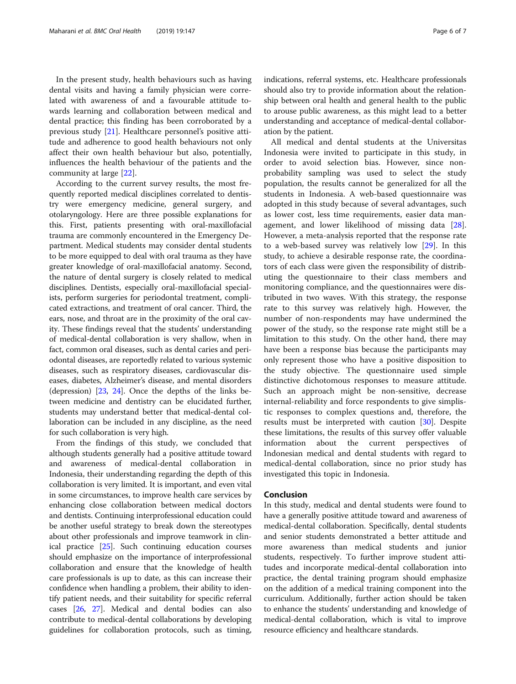In the present study, health behaviours such as having dental visits and having a family physician were correlated with awareness of and a favourable attitude towards learning and collaboration between medical and dental practice; this finding has been corroborated by a previous study [[21](#page-6-0)]. Healthcare personnel's positive attitude and adherence to good health behaviours not only affect their own health behaviour but also, potentially, influences the health behaviour of the patients and the community at large [[22\]](#page-6-0).

According to the current survey results, the most frequently reported medical disciplines correlated to dentistry were emergency medicine, general surgery, and otolaryngology. Here are three possible explanations for this. First, patients presenting with oral-maxillofacial trauma are commonly encountered in the Emergency Department. Medical students may consider dental students to be more equipped to deal with oral trauma as they have greater knowledge of oral-maxillofacial anatomy. Second, the nature of dental surgery is closely related to medical disciplines. Dentists, especially oral-maxillofacial specialists, perform surgeries for periodontal treatment, complicated extractions, and treatment of oral cancer. Third, the ears, nose, and throat are in the proximity of the oral cavity. These findings reveal that the students' understanding of medical-dental collaboration is very shallow, when in fact, common oral diseases, such as dental caries and periodontal diseases, are reportedly related to various systemic diseases, such as respiratory diseases, cardiovascular diseases, diabetes, Alzheimer's disease, and mental disorders (depression) [\[23,](#page-6-0) [24](#page-6-0)]. Once the depths of the links between medicine and dentistry can be elucidated further, students may understand better that medical-dental collaboration can be included in any discipline, as the need for such collaboration is very high.

From the findings of this study, we concluded that although students generally had a positive attitude toward and awareness of medical-dental collaboration in Indonesia, their understanding regarding the depth of this collaboration is very limited. It is important, and even vital in some circumstances, to improve health care services by enhancing close collaboration between medical doctors and dentists. Continuing interprofessional education could be another useful strategy to break down the stereotypes about other professionals and improve teamwork in clinical practice [[25](#page-6-0)]. Such continuing education courses should emphasize on the importance of interprofessional collaboration and ensure that the knowledge of health care professionals is up to date, as this can increase their confidence when handling a problem, their ability to identify patient needs, and their suitability for specific referral cases [\[26](#page-6-0), [27\]](#page-6-0). Medical and dental bodies can also contribute to medical-dental collaborations by developing guidelines for collaboration protocols, such as timing, indications, referral systems, etc. Healthcare professionals should also try to provide information about the relationship between oral health and general health to the public to arouse public awareness, as this might lead to a better understanding and acceptance of medical-dental collaboration by the patient.

All medical and dental students at the Universitas Indonesia were invited to participate in this study, in order to avoid selection bias. However, since nonprobability sampling was used to select the study population, the results cannot be generalized for all the students in Indonesia. A web-based questionnaire was adopted in this study because of several advantages, such as lower cost, less time requirements, easier data management, and lower likelihood of missing data [\[28](#page-6-0)]. However, a meta-analysis reported that the response rate to a web-based survey was relatively low [\[29](#page-6-0)]. In this study, to achieve a desirable response rate, the coordinators of each class were given the responsibility of distributing the questionnaire to their class members and monitoring compliance, and the questionnaires were distributed in two waves. With this strategy, the response rate to this survey was relatively high. However, the number of non-respondents may have undermined the power of the study, so the response rate might still be a limitation to this study. On the other hand, there may have been a response bias because the participants may only represent those who have a positive disposition to the study objective. The questionnaire used simple distinctive dichotomous responses to measure attitude. Such an approach might be non-sensitive, decrease internal-reliability and force respondents to give simplistic responses to complex questions and, therefore, the results must be interpreted with caution [[30\]](#page-6-0). Despite these limitations, the results of this survey offer valuable information about the current perspectives of Indonesian medical and dental students with regard to medical-dental collaboration, since no prior study has investigated this topic in Indonesia.

#### Conclusion

In this study, medical and dental students were found to have a generally positive attitude toward and awareness of medical-dental collaboration. Specifically, dental students and senior students demonstrated a better attitude and more awareness than medical students and junior students, respectively. To further improve student attitudes and incorporate medical-dental collaboration into practice, the dental training program should emphasize on the addition of a medical training component into the curriculum. Additionally, further action should be taken to enhance the students' understanding and knowledge of medical-dental collaboration, which is vital to improve resource efficiency and healthcare standards.